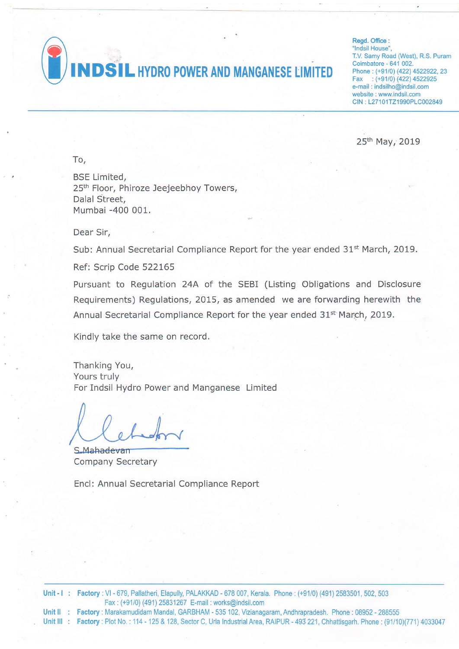**DSIL HYDRO POWER AND MANGANESE LIMITED** 

Regd. Office : "Indsil House", T.V. Samy Road (West), R.S. Puram Coimbatore - 641 002. Phone: (+91/0) (422) 4522922, 23 Fax : (+91/0) (422) 4522925 e-mail : indsilho@indsil.com website : www.indsil.com CIN: L27101TZ1990PLC002849

25th May, 2019

To,

BSE Limited, 25<sup>th</sup> Floor, Phiroze Jeejeebhoy Towers, Dalal Street, Mumbai -400 001.

Dear Sir.

Sub: Annual Secretarial Compliance Report for the year ended 31<sup>st</sup> March, 2019.

Ref: Scrip Code 522165

Pursuant to Regulation 24A of the SEBI (Listing Obligations and Disclosure Requirements) Regulations,2015, as amended we are forwarding herewith the Annual Secretarial Compliance Report for the year ended 31<sup>st</sup> March, 2019.

Kindlv take the same on record.

Thanking You, Yours truly For Indsil Hydro Power and Manganese Limited

S.Mahadevan Company Secretary

Encl: Annual Secretarial Compliance Report

**Unit - I : Factory :** VI - 679, Pallatheri, Elapully, PALAKKAD - 678 007, Kerala. Phone : (+91/0) (491) 2583501, 502, 503 Fax : (+91/0) (491)25831267 E-mail :works@indsil.com

Unit II : Factory : Marakamudidam Mandal, GARBHAM - 535 102, Vizianagaram, Andhrapradesh. Phone : 08952 - 288555

Unit III : Factory : Plot No. : 114 - 125 & 128, Sector C, Urla Industrial Area, RAIPUR - 493 221, Chhattisgarh. Phone : (91/10)(771) 4033047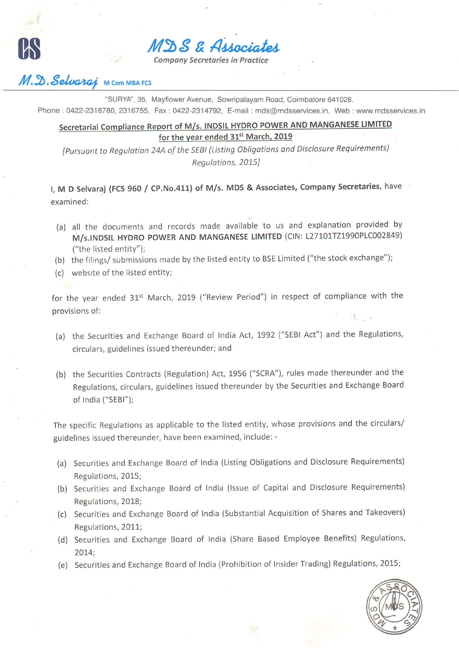MDS & Arragio

**Company Secretaries in Practice** 

## M.D. Selvarai **M Com MBA FCS**

"SURYA", 35, Mayflower Avenue, Sowripalayam Road, Coimbatore 641028. Phone: 0422-2318780, 2316755, Fax: 0422-2314792, E-mail: mds@mdsservices.in, Web: www.mdsservices.in

## Secretarial Compliance Report of M/s. INDSIL HYDRO POWER AND MANGANESE LIMITED for the year ended 31<sup>st</sup> March, 2019

[Pursuant to Regulation 24A of the SEBI (Listing Obligations and Disclosure Requirements) Regulations, 2015]

I, M D Selvaraj (FCS 960 / CP.No.411) of M/s. MDS & Associates, Company Secretaries, have examined:

- (a) all the documents and records made available to us and explanation provided by M/s.INDSIL HYDRO POWER AND MANGANESE LIMITED (CIN: L27101TZ1990PLC002849) ("the listed entity");
- (b) the filings/ submissions made by the listed entity to BSE Limited ("the stock exchange");
- (c) website of the listed entity;

for the year ended 31<sup>st</sup> March, 2019 ("Review Period") in respect of compliance with the provisions of:

- (a) the Securities and Exchange Board of India Act, 1992 ("SEBI Act") and the Regulations, circulars, guidelines issued thereunder; and
- (b) the Securities Contracts (Regulation) Act, 1956 ("SCRA"), rules made thereunder and the Regulations, circulars, guidelines issued thereunder by the Securities and Exchange Board of India ("SEBI");

The specific Regulations as applicable to the listed entity, whose provisions and the circulars/ guidelines issued thereunder, have been examined, include: -

- (a) Securities and Exchange Board of India (Listing Obligations and Disclosure Requirements) Regulations, 2015;
- (b) Securities and Exchange Board of India (Issue of Capital and Disclosure Requirements) Regulations, 2018;
- (c) Securities and Exchange Board of India (Substantial Acquisition of Shares and Takeovers) Regulations, 2011;
- (d) Securities and Exchange Board of India (Share Based Employee Benefits) Regulations,  $2014;$
- (e) Securities and Exchange Board of India (Prohibition of Insider Trading) Regulations, 2015;